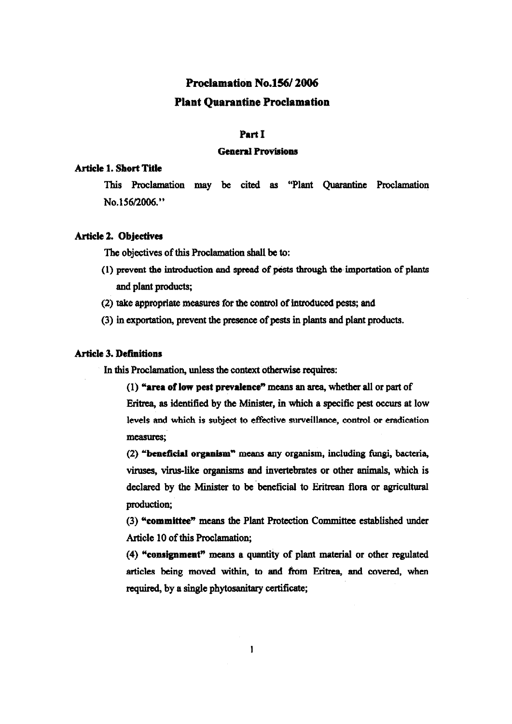# Proclamation No.156/2006 Plant Quarantine Proelamation

# Part I

### **General Provisions**

# Article 1. Short Title

This Proclamation may be cited as "Plant Quarantine Proclamation No.! 56/2006."

## Article 2. Objeetives

The objectives of this Proclamation shall be to:

- $(1)$  prevent the introduction and spread of pests through the importation of plants and plant products;
- (2) take appropriate measures for the control of Introduced pests; and
- (3) in exportation, prevent the presence of pests in plants and plant products.

## **Article 3. Definitions**

In this Proclamation, unless the context otherwise requires:

 $(1)$  "area of low pest prevalence" means an area, whether all or part of Eritrea, as identified by the Minister, in which a specific pest occurs at low levels and which is subject to effective surveillance, control or eradication measures;

(2) "beneficial organism" means any organism, including fungi, bacteria, viruses, virus-like organisms and invertebrates or other animals, which is declared by the Minister to be beneficial to Eritrean flora or agricultural production;

(3) "committee" means the Plant Protection Committee established under Article 10 of this Proclamation;

 $(4)$  "consignment" means a quantity of plant material or other regulated articles being moved within, to and from Eritrea, and covered, when required, by a single phytosanitary certificate;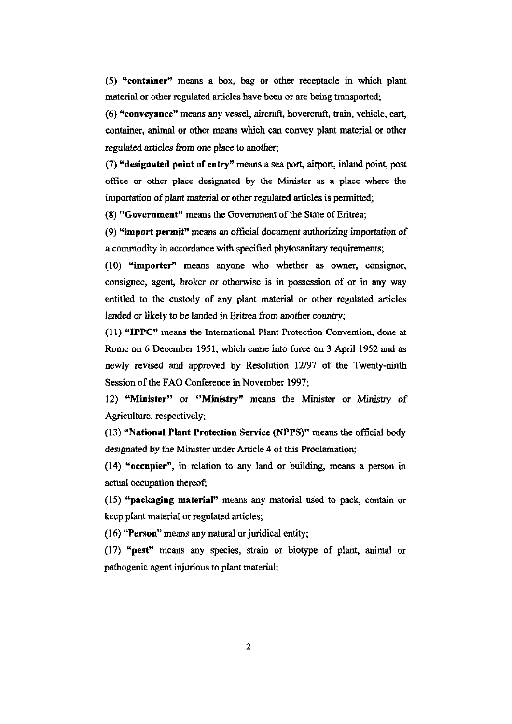(5) "container" means a box, bag or other receptacle in which plant material or other regulated articles have been or are being transported;

(6) "conveyance" means any vessel, aircraft, hovercraft, train, vehicle, cart, container, animal or other means which can convey plant material or other regulated articles from one place to another;

(7) "designated point of entry" means a sea port, airport, inland point, post office or other place designated by the Minister as a place where the importation of plant material or other regulated articles is permitted;

(8) "Government" means the Government of the State of Eritrea;

(9) "import permit" means an official document authorizing importation of a cornmodity in accordance with specified phytosanitary requirements;

(10) "importer" means anyone who whether as owner, consignor, consignee, agent, broker or otherwise is in possession of or in any way entitled to the custody of any plant material or other regulated articles landed or likely to be landed in Eritrea from another country;

(11) "IPPC" means the International Plant Protection Convention, done at Rome on 6 December 1951, which came into force on 3 April 1952 and as newly revised and approved by Resolution *12/97* of the Twenty-ninth Session of the FAO Conference in November 1997;

12) "Minister" or "Ministry" means the Minister or Ministry of Agriculture, respectively;

(13) "National Plant Protection Service (NPPS)" means the official body designated by the Minister under Article 4 of this Proclamation;

(14) "occupier", in relation to any land or building, means a person in actual occupation thereof;

(15) "packaging material" means any material used to pack, contain or keep plant material or regulated articles;

(16) "Person" means any natural or juridical entity;

(17) "pest" means any species, strain or biotype of plant, animal. or pathogenic agent injurious to plant material;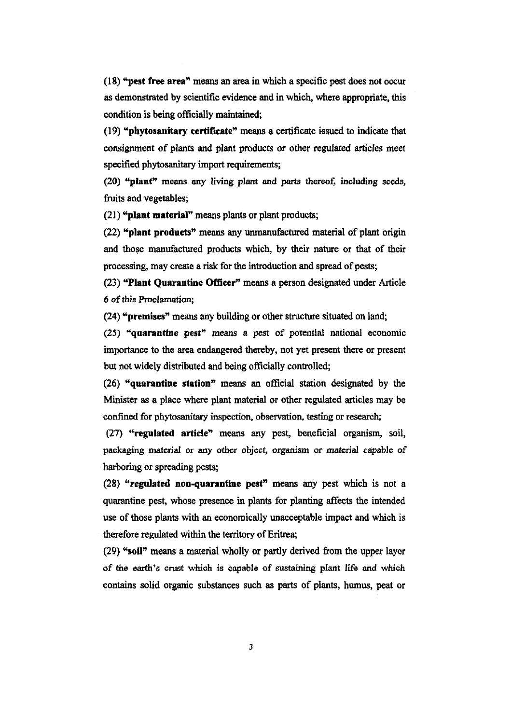(18) "pest free area" means an area in which a specific pest does not occur as demonstrated by scientific evidence and in which, where appropriate, this condition is being officially maintained;

(19) "phytosanitary certifieate" means a certificate issued to indicate that consignment of plants and plant products or other regulated articles meet specified phytosanitary import requirements;

(20) "plant" means any living plant and parts thereof, including seeds, fruits and vegetables;

(21) "plant material" means plants or plant products;

(22) "plant products" means any unmanufactured material of plant origin and those manufactured products which, by their nature or that of their proeessing, may create a risk for the introduction and spread of pests;

(23) "Plant Quarantine Officer" means a person designated under Article 6 of this Proclamation;

(24) "premises" means any building or other structure situated on land;

(25) "quarantine pest" means a pest of potential national economic importance to the area endangered thereby, not yet present there or present but not widely distributed and being officially controlled;

(26) "quarantine station" means an official station designated by the Minister as a place where plant material or other regulated articles may be confmed for phytosanitary inspection, observation. testing or research;

(27) "regulated artiele" means any pest, beneficial organism, soil, packaging material or any other object, organism or material capable of harboring or spreading pests;

 $(28)$  "regulated non-quarantine pest" means any pest which is not a quarantine pest, whose presence in plants for planting affects the intended use of those plants with an economically unacceptable impact and which is therefore regulated within the territory of Eritrea;

(29) "soil" means a material wholly or partly derived from the upper layer of the earth's crust which is capable of sustaining plant life and which contains solid organic substances such as parts of plants, humus, peat or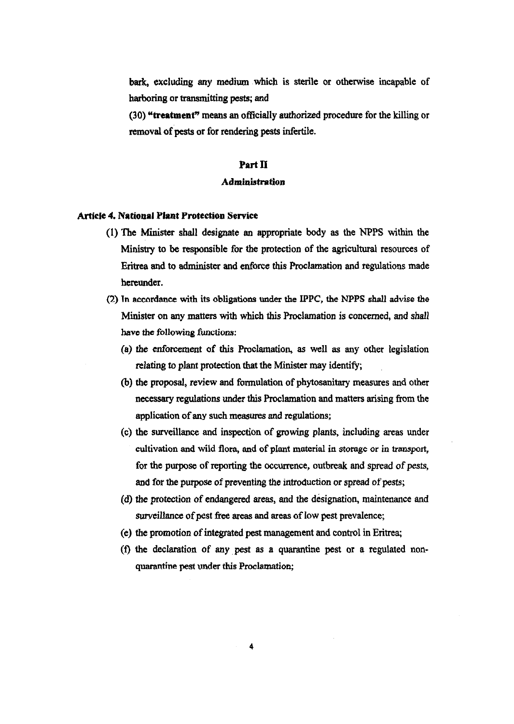bark, excluding any medium which is sterile or otherwise incapable of harboring or transmitting pests; and

(30) "treatment" means an officially authorized procedure for the killing or removal of pests or for rendering pests infertile.

## Part II

#### Administration

#### Article 4. National Plant Protection Service

- (1) The Minister shall designate an appropriate body as the NPPS within the Ministry to be responsible for the protection of the agricultural resources of Eritrea and to administer and enforce this Proclamation and regulations made hereunder.
- ('2) Tn accordance with its obligations under the IPPC, the NPPS shall advise the Minister on any matters with which this Proclamation is concerned, and shall have the following functions:
	- (a) the enforcement of this Proclamation, as well as any other legislation relating to plant protection that the Minister may identify;
	- (b) the proposal, review and formulation of phytosanitary measures and other necessary regulations under this Proclamation and matters arising from the application of any such measures and regulations;
	- (c) the surveillance and inspection of growing plants, including areas under cultivation and wild flora, and of plant material in storage or in transport, for the purpose of reporting the occurrence, outbreak and spread of pests, and for the purpose of preventing the introduction or spread of pests;
	- (d) the protection of endangered areas, and the designation, maintenance and surveillance of pest free areas and areas of low pest prevalence;
	- (e) the promotion of integrated pest management and control in Eritrea;
	- (t) the declaration of any. pest as a quarantine pest or a regulated non· quarantine pest under this Proclamation;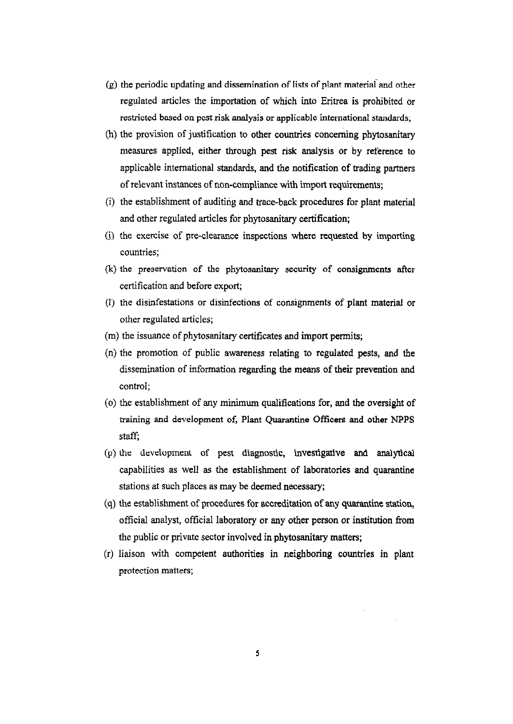- $(g)$  the periodic updating and dissemination of lists of plant material and other regulated articles the importation of which into Eritrea is prohibited or restricted bused on pcst risk analysis or applicable international standards;
- (h) the provision of justification to other countries concerning phytosanitary measures applied, either through pest risk analysis or by reference to applicable international standards, and the notification of trading partners of relevant instances of non-compliance with import requirements;
- (i) the establishment of auditing and trace-back procedures for plant material and other regulated articles for phytosanitary certification;
- G) the exercise of pre-clearance inspections where requested by importing countries;
- (k) the preservation of the phytosanitary security of consignments after certification and before export;
- (I) the disinfestations or disinfections of consignments of plant material or other regulated articles;
- (m) the issuance of phytosanitary certificates and import permits;
- (n) the promotion of public awareness relating to regulated pests, and the dissemination of information regarding the means of their prevention and control;
- (0) the establishment of any minimum qualifications for, and the oversight of training and development of, Plant Quarantine Officers and other NPPS staff;
- (p) the development of pest diagnostic, investigative and analytical capabilities as well as the establishment of laboratories and quarantine stations at such places as may be deemed necessary;
- (q) the establishment of procedures for accreditation of any quarantine station, official analyst, official laboratory or any other person or institution from the public or private sector involved in phytosanitary matters;
- Cr) liaison with competent authorities in neighboring countries in plant protection matters;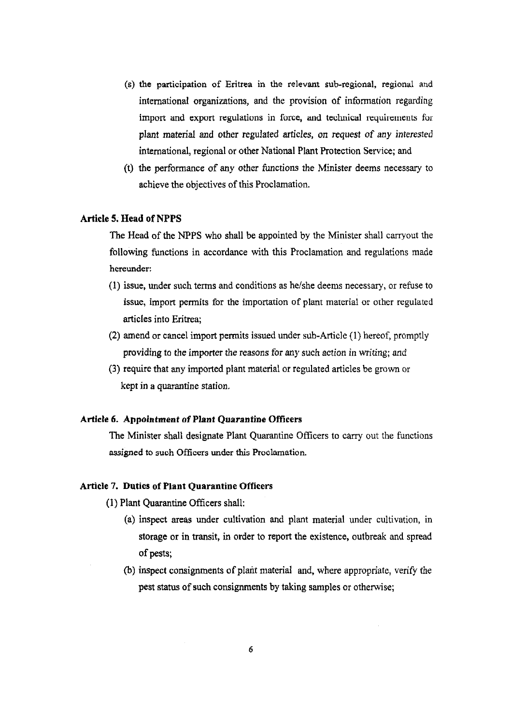- (s) the participation of Eritrea in the relevant sub-regional, regional and international organizations, and the provision of information regarding import and export regulations in force, and technical requirements for plant material and other regulated articles, on request of any interested international, regional or other National Plant Protection Service; and
- (t) the performance of any other functions the Minister deems necessary to achieve the objectives of this Proclamation.

#### Article 5. Head of NPPS

The Head of the NPPS who shall be appointed by the Minister shall carryout the following functions in accordance with this Proclamation and regulations made hereunder:

- (1) issue, under such terms and conditions as he/she deems necessary, or refuse to issue, import permits for the importation of plant material or other regulated articles into Eritrea;
- (2) amend or cancel import permits issued under sub-Article (I) hereof, promptly providing to the importer the reasons for any such action in writing; and
- (3) require that any imported plant material or regulated articles be grown or kept in a quarantine station.

## Article 6. Appointment of Plant Quarantine Officers

The Minister shall designate Plant Quarantine Officers to carry out the functions assigned to such Officers under this Proclamation.

## Article 7. Duties of Plant Quarantine Officers

(1) Plant Quarantine Officers shaH:

- (a) inspect areas under cultivation and plant material under cultivation, in storage or in transit, in order to report the existence, outbreak and spread of pests;
- (b) inspect consignments of plant material and, where appropriate, verify the pest status of such consignments by taking samples or otherwise;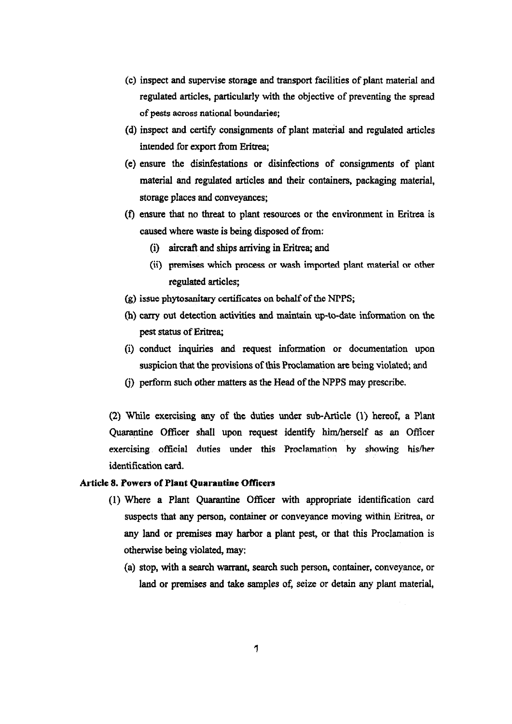- (c) inspect and supervise storage and transport facilities of plant material and regulated articles, particularly with the objective of preventing the spread of pests across national boundaries;
- (d) inspect and certify consignments of plant material and regulated articles intended for export from Eritrea;
- (e) ensure the disinfestations or disinfections of consignments of plant material and regulated articles and their containers, packaging material, storage places and conveyances;
- (t) ensure that no threat to plant resources or the environment in Eritrea is caused where waste is being disposed of from:
	- (i) aircraft and ships arriving in Eritrea; and
	- (ii) premises which process or wash imported plant material or other regulated articles;
- (g) issue phytosanitary certificates on behalf of *the* NPPS;
- (h) carry put detection activities and maintain up-to-date information on the pest status of Eritrea;
- (i) conduct inquiries and request information or documentation upon suspicion that the provisions of this Proclamation are being violated; and
- (j) perform such other matters as the Head of the NPPS may prescribe.

(2) While exercising any of the duties under sub-Article (1) hereof, a Plant Quarantine Officer shall upon request identify him/herself as an Officer exercising official duties under this Proclamation by showing his/her identification card.

## Article 8. Powers of Plant Quarantine Officers

- (1) Where a Plant Quarantine Officer with appropriate identification card suspects that any person, container or conveyance moving within Eritrea, or any land or premises may harbor a plant pest, or that this Proclamation is otherwise being violated, may:
	- (a) stop, with a search warrant, search such person, container, conveyance, or land or premises and take samples of, seize or detain any plant material,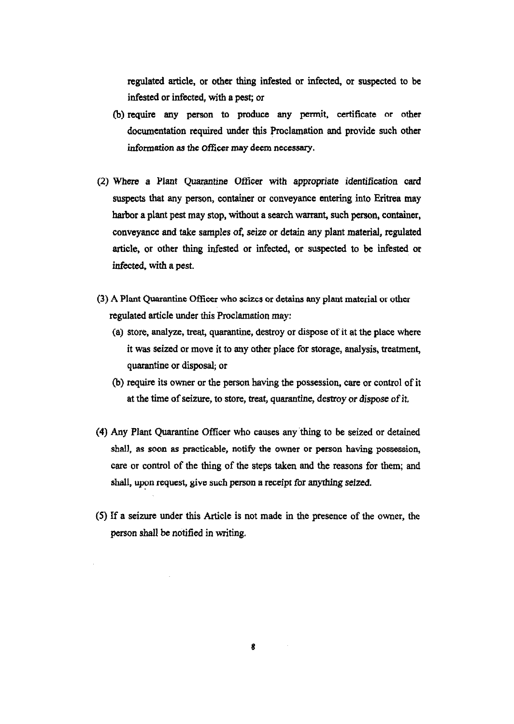regulated article, or other thing infested or infected, or suspected to be infested or infected, with a pest; or

- (b) require any person to produce any permit. certificate or other documentation required under this Proclamation and provide such other information as the Officer may deem necessary.
- (2) Where a Plant Quarantine Officer with appropriate identification card suspects that any person, container or conveyance entering into Eritrea may barbor a plant pest may stop, without a search warrant, such person, container, conveyance and take samples of, seize or detain any plant material, regulated article, or other thing infested or infected, or suspected to be infested or infected, with a pest.
- (3) A Plant Quarantine Officer who scizes or detains any plant material or other regulated article under this Proclamation may:
	- (a) store, analyze, treat, quarantine, destroy or dispose of it at the place where it was seized or move it to any other place for storage, analysis, treatment, quarantine or disposal; or
	- (b) require its owner or the person having the possession, care or control of it at the time of seizure, to store, treat, quarantine, destroy or dispose of it.
- (4) Any Plant Quarantine Officer who causes any thing to be seized or detained shall, as soon as practicable, notify the owner or person having possession, care or control of the thing of the steps taken and the reasons for them; and shall, upon request, give such person a receipt for anything seized.
- (5) If a seizure under this Article is not made in the presence of the owner, the person shall be notified in writing.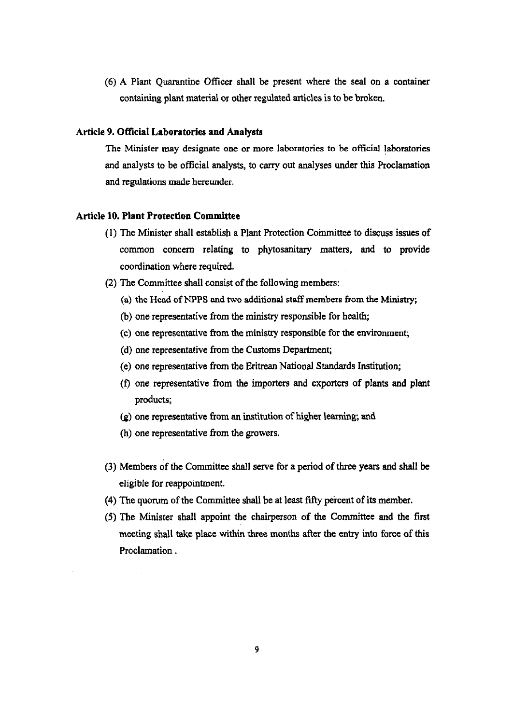(6) A Plant Quarantine Officer shall be present where the seal on a container containing plant material or other regulated articles is to be broken.

## Article 9. Official Laboratories and Analysts

The Minister may designate one or more laboratories to be official laboratories and analysts to be official analysts, to carry out analyses under this Proclamation and regulations made hereunder.

## Article 10. Plant Protection Committee

- (1) The Minister shall establish a Plant Protection Committee to discuss issues of common concern relating to phytosanitary matters, and to provide coordination where required.
- (2) The Committee shall consist of the following members:
	- (a) the Head of NPPS and two additional staff members from the Ministry;
	- (b) one representative from the ministry responsible for health;
	- ( c) one representative from the ministry responsible for the environment;
	- (d) one representative from the Customs Department;
	- (e) one representative from the Eritrean National Standards Institution;
	- (t) one representative from the importers and exporters of plants and plant products;
	- (g) one representative from an institution of higher learning; and
	- (h) one representative from the growers.
- (3) Members of the Committee shall serve for a period of three years and shall be eligible for reappointment.
- (4) The quorum of the Committee shall be at least fifty percent of its member.
- (5) The Minister shall appoint the chairperson of the Committee and the first meeting shall take place within three months after the entry into force of this Proclamation.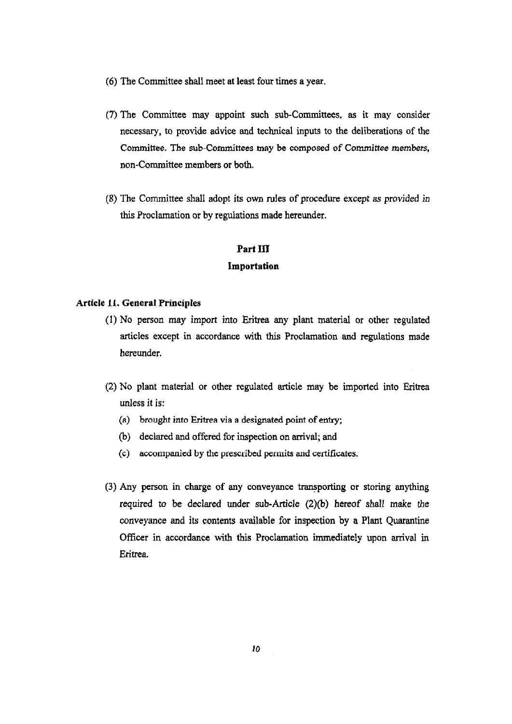- (6) The Committee shall meet at least fow: times a year.
- (7) The Committee may appoint such sub-Committees, as it may consider necessary, to provide advice and technical inputs to the deliberations of the Committee. The sub-Committees may be composed of Committee members, non-Committee members or both.
- (8) The Committee shall adopt its own rules of procedure except as provided *in*  this Proclamation or by regulations made hereunder.

#### **PartIlI**

#### **Importation**

# **Article 11. General Principles**

- (l) No person may import into Eritrea any plant material or other regulated articles except in accordance with this Proclamation and regulations made hereunder.
- (2) No plant material or other regulated article may be imported into Eritrea unless it is:
	- (a) brought into Eritrea via a designated point of entry;
	- (b) declared and offered for inspection on arrival; and
	- (c) accompanied by the prescribed permits and certificates.
- (3) Any person in charge of any conveyance transporting or storing anything required to be declared under sub-Article (2)(b) hereof shall make the conveyance and its contents available for inspection by a Plant Quarantine Officer in accordance with this Proclamation immediately upon arrival in Eritrea.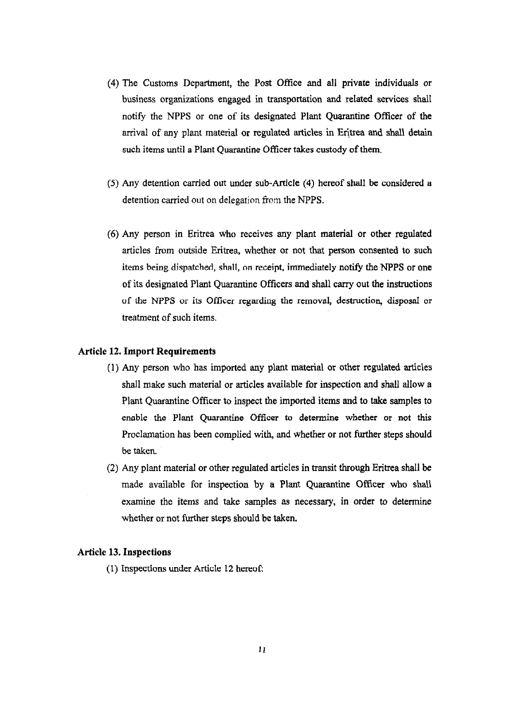- (4) The Customs Department, the Post Office and all private individuals or business organizations engaged in transportation and related services shall notify the NPPS or one of its designated Plant Quarantine Officer of the arrival of any plant material or regulated articles in Eritrea and shall detain such items until a Plant Quarantine Officer takes custody of them.
- (5) Any detention carried out under sub-Article (4) hereof shall be considered a detention carried out on delegation from the NPPS.
- (6) Any person in Eritrea who receives any plant material or other regulated articles from outside Eritrea, whether or not that person consented to such items being dispatched, shall, on receipt, immediately notify the NPPS or one of its designated Plant Quarantine Officers and shall carry out the instructions of the NPPS or its Officer regarding the removal, destruction, disposal or treatment of such items.

#### Article 12. Import Requirements

- Cl) Any person who has imported any plant material or other regulated articles shall make such material or articles available for inspection and shall allow a Plant Quarantine Officer to inspect the imported items and to take samples to enable the Plant Quarantine Officer to determine whether or not this Proclamation has been complied with, and whether or not further steps should be taken.
- (2) Any plant material or other regulated articles in transit through Eritrea shall be made available for inspection by a Plant Quarantine Officer who shall examine the items and take samples as necessary, in order to determine whether or not further steps should be taken.

## Article 13. Inspections

 $(1)$  Inspections under Article 12 hereof: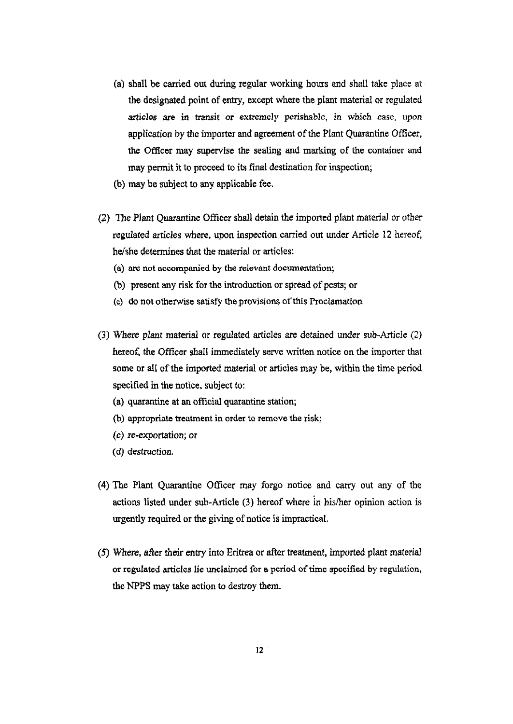- (a) shall be carried out during regular working hours and shall take place at the designated point of entry, except where the plant material or regulated *articles* are in transit or extremely perishable, in which case, upon application by the importer and agreement of the Plant Quarantine Officer, the Officer may supervise the sealing and marking of the container and may permit it to proceed to its final destination for inspection;
- (b) may be subject to any applicable fee.
- (2) The Plant Quarantine Officer shall detain the imported plant material or other regulated articles where, upon inspection carried out under Article 12 hereof, he/she determines that the material or articles:
	- (a) are not accompanied by the relevant documentation;
	- (b) present any risk for the introduction or spread of pests; or
	- (c) do not otherwise satisfy the provisions of this Proclamation.
- (3) Where plant material or regulated articles are detained under sub-Article (2) hereof, the Officer shall immediately serve written notice on the importer that some or all of the imported material or articles may be, within the time period specified in the notice, subject to:
	- (a) quarantine at an official quarantine station;
	- (b) appropriate treatment in order to remove the risk;
	- *(c)* re-exportation; or
	- (d) destruction.
- (4) The Plant Quarantine Officer may forgo notice and carry out any of the actions listed under sub-Article (3) hereof where in hislher opinion action is urgently required or the giving of notice is impractical.
- (5) Where, after their entry into Eritrea or after treatment, imported plant material or regulated articles lie unclaimed for a period of time specified by regulation, the NPPS may take action to destroy them.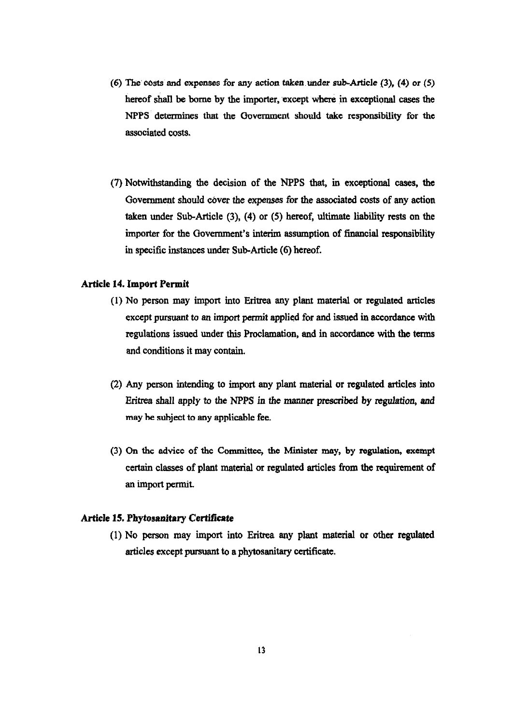- (6) The'costs and expenses for any action taken,under sub-Article (3), (4) or (5) hereof shall be bome by the importer, except where in exceptional cases the NPPS determines that the Oovernment should take responsibility for the associated costs.
- (7) Notwithstanding the decision of the NPPS that, in exceptional cases, the Government should cover the expenses for the associated costs of any action taken under Sub-Article (3), (4) or (5) hereof, ultimate liability rests on the importer for the Government's interim asswnption of financial responsibility in specific instances under Sub-Article (6) hereof.

## Article 14. Import Permit

- (I) No person may import into Eritrea any plant material or regulated articles except pursuant to an import permit applied for and issued in accordance with regulations issued under this Proclamation, and in accordance with the terms and conditions it may contain.
- (2) Any person intending to import any plant material or regulated articles into Eritrea shall apply to the NPPS in the manner prescribed by regulation, and may he subject to any applicable fee.
- (3) On the advice of the Committee, the Minister may, by regulation, exempt certain classes of plant material or regulated articles from the requirement of an import permit.

#### Article 15. Phytosanitary Certificate

(l) No person may import into Eritrea any plant material or other regulated articles except pursuant to a phytosanitary certificate.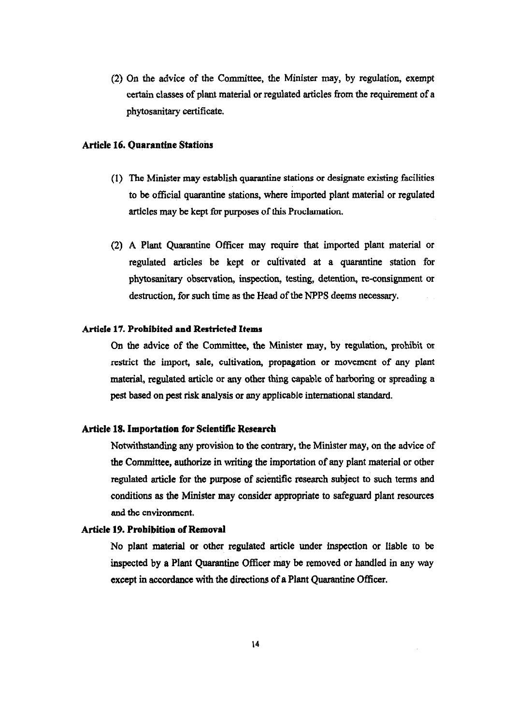(2) On the advice of the Committee, the Minister may, by regulation, exempt certain classes of plant material or regulated articles from the requirement of a phytosanitary certificate.

# Artie1e 16. Quarantine Stations

- (1) The Minister may establish quarantine stations or designate existing facilities to be official quarantine stations, where imported plant material or regulated articles may be kept for purposes of this Proclamation.
- (2) A Plant Quarantine Officer may require that imported plant material or regulated articles be kept or cultivated at a quarantine station for phytosanitary observation, inspection, testing, detention, re-consignment or destruction, for such time as the Head of the NPPS deems necessary.

### Article 17. Prohibited and Restricted Items

On the advice of the Committee, the Minister may, by regulation, prohibit or restrict the import, sale, cultivation, propagation or movement of any plant material, regulated article or any other thing capable of harboring or spreading a pest based on pest risk analysis or any applicable international standard.

## Artiele 18. Importation for Scientific Research

Notwithstanding any provision to the contrary, the Minister may, on the advice of the Committee, authorize in writing the importation of any plant material or other regulated article for the purpose of scientific research subject to such terms and conditions as the Minister may consider appropriate to safeguard plant resources and the environment.

## Article 19. Prohibition of Removal

No plant material or other regulated article under inspection or liable to be inspected by a Plant Quarantine Officer may be removed or handled in any way except in accordance with the directions of a Plant Quarantine Officer.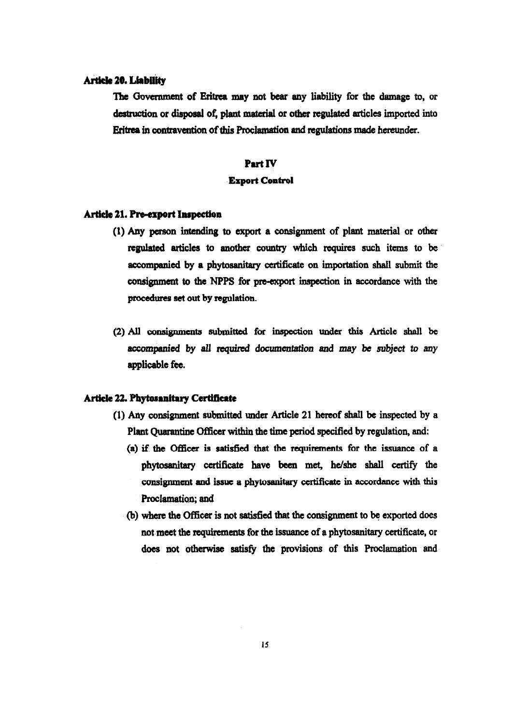## Article 20. Liability

The Government of Eritrea may not bear any liability for the damage to, or destruction or disposal of, plant material or other regulated articles imported into Eritrea in contravention of this Proclamation and regulations made hereunder.

### Part IV

## **Export Control**

#### Article 21. Pre-export Inspection

- (1) Any person intending to export a consignment of plant material or other regulated articles to another country which requires such items to be accompanied by a phytosanitary certificate on importation shall submit the consignment to the NPPS for pre-export inspection in accordance with the procedures set out by regulation.
- (2) All consignments submitted for inspection under this Article shall be accompanied by all required documentation and may be subject to any applicable fee.

#### Article 22. Phytosanitary Certificate

- (1) Any consignment submitted under Article 21 hereof shall be inspected by a Plant Quarantine Officer within the time period specified by regulation, and:
	- (a) if the Officer is satisfied that the requirements for the issuance of a phytosanitary certificate have been met, he/she shall certify the consignment and issue a phytosanitary certificate in accordance with this Proclamation; and
	- (b) where the Officer is not satisfied that the consignment to be exported does not meet the requirements for the issuance of a phytosanitary certificate, or does not otherwise satisfy the provisions of this Proclamation and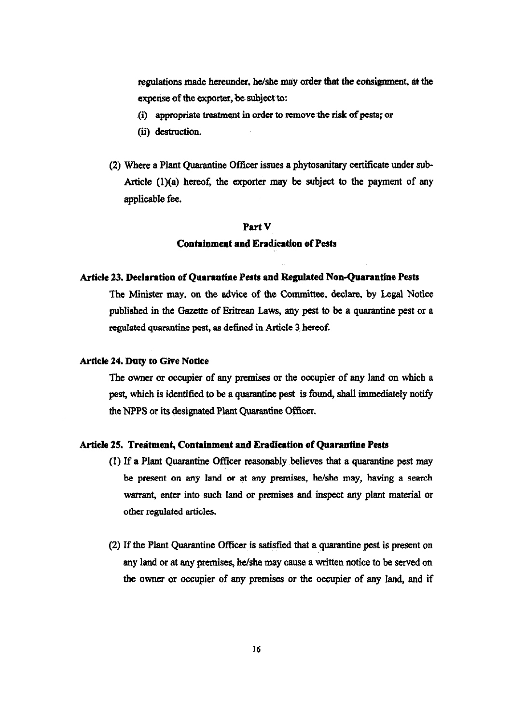regulations made hereunder. he/she may order that the consignment, at the expense of the exporter. be subject to:

- (i) appropriate treatment in order to remove the risk of pests; or
- (ii) destruction.
- (2) Where a Plant Quarantine Officer issues a phytosanitary certificate under sub-Article (1)(a) hereof, the exporter may be subject to the payment of any applicable fee.

## Part V

## Containment and Eradication of Pests

#### Article 23. Declaration of Quarantine Pests and Regulated Non-Quarantine Pests

The Minister may. on the advice of the Committee. declare. by Legal Notice published in the Gazette of Eritrean Laws, any pest to be a quarantine pest or a regulated quarantine pest, as defined in Article 3. hereof.

#### Article 24. Duty to Give Notice

The owner or occupier of any premises or the occupier of any land on which a pest, which is identified to be a quarantine pest is found, shall immediately notify the NPPS or its designated Plant Quarantine Officer.

#### Article 25. Treatment, Containment and Eradication of Quarantine Pests

- (1) If a Plant Quarantine Officer reasonably believes that a quarantine pest may be present on any land or at any premises, he/she may, having a search warrant, enter into such land or premises and inspect any plant material or other regulated articles.
- (2) If the Plant Quarantine Officer is satisfied that a quarantine pest is present on any land or at any premises, he/she may cause a written notice to be served on the owner or occupier of any premises or the occupier of any land, and if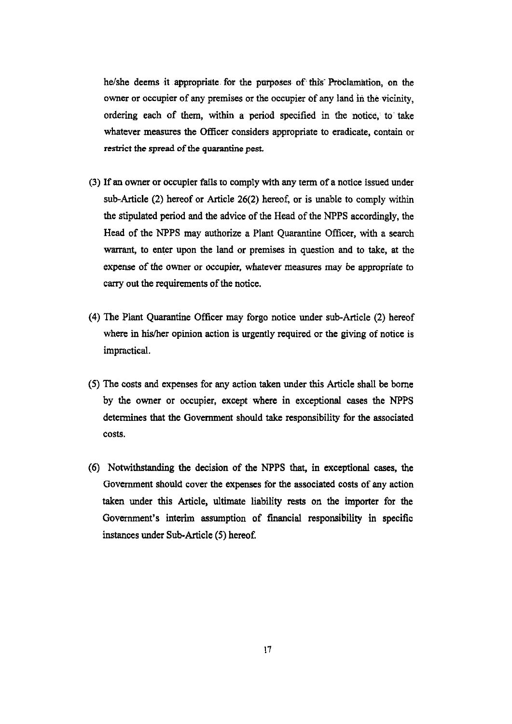he/she deems it appropriate for the purposes of this Proclamation, on the owner or occupier of any premises or the occupier of any land in the vicinity, ordering each of them, within a period specified in the notice, to take whatever measures the Officer considers appropriate to eradicate, contain or restrict the spread of the quarantine pest,

- (3) If an owner or occupier fails to comply with any term of a notice issued under sub-Article (2) hereof or Article 26(2) hereof, or is unable to comply within the stipulated period and the advice of the Head of the NPPS accordingly, the Head of the NPPS may authorize a Plant Quarantine Officer, with a search warrant, to enter upon the land or premises in question and to take, at the expense of the owner or occupier. whatever measures may be appropriate *to*  carry out the requirements of the notice.
- (4) The Plant Quarantine Officer may forgo notice under sub-Article (2) hereof where in his/her opinion action is urgently required or the giving of notice is impractical.
- (5) The costs and expenses for any action taken under this Article shall be borne by the owner or occupier, except where in exceptional cases the NPPS determines that the Government should take responsibility for the associated costs.
- (6) Notwithstanding the decision of the NPPS that, in exceptional cases, the Government should cover the expenses for the associated costs of any action taken under this Article, ultimate liability rests on the importer for the Government's interim assumption of financial responsibility in specific instances under Sub-Article (5) hereof.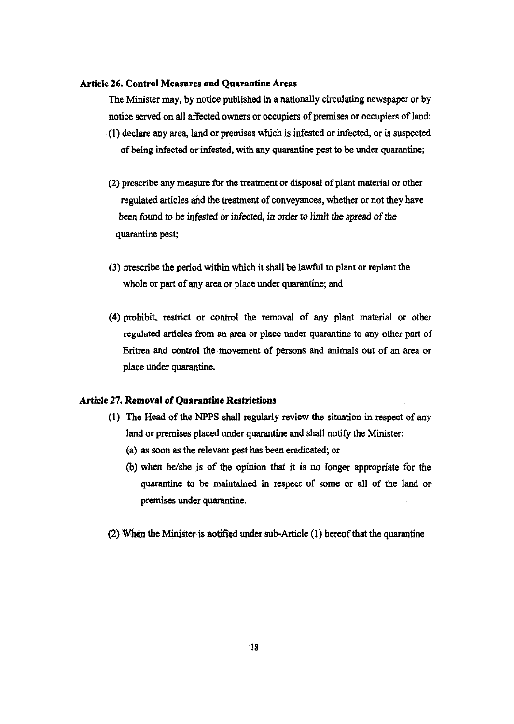#### Article 26. Control Measures and Quarantine Areas

The Minister may, by notice published in a nationally circulating newspaper or by notice served on all affected owners or occupiers of premises or occupiers ofland: (1) declare any area, land or premises which is infested or infected, or is suspected of being infected or infested. with any quarantine pest to be under quarantine;

- (2) prescribe any measure for the treatment or disposal of plant material or other regulated articles and the treatment of conveyances, whether or not they have been found to be infested or infected, *in* order to *limit* the *spread* of the quarantine pest;
- (3) prescribe the period within which it shall be lawful to plant or replant the whole or part of any area or place under quarantine; and
- (4) prohibit, restrict or control the removal of any plant material or other regulated articles from an area or place under quarantine to any other part of Eritrea and control the movement of persons and animals out of an area or place under quarantine.

# Article 27. Removal of Quarantine Restrictions

- (1) The Head of the NPPS shall regularly review the situation in respect of any land or premises placed under quarantine and shall notify the Minister:
	- (a) as soon as the relevant pest has been eradicated; or
	- (b) when he/she is of the opinion that it is no longer appropriate for the quarantine to be maintained in respect of some or all of the land or premises under quarantine.
- (2) When the Minister is notified under sub-Article  $(1)$  hereof that the quarantine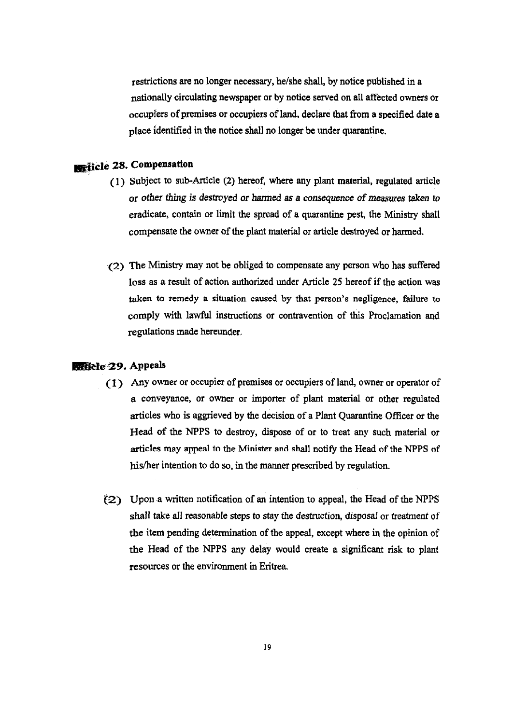restrictions are no longer necessary, he/she shall, by notice published in a nationally circulating newspaper or by notice served on all affected owners or occupiers of premises or occupiers ofland. declare that from a specified date a place identified in the notice shall no longer be under quarantine .

# **Exhicle 28. Compensation**

- (1) Subject to sub-Article (2) hereof, where any plant material. regulated article or other thing is destroyed or harmed as a *consequence* of measures taken *to*  eradicate, contain or limit the spread of a quarantine pest, the Ministry shall compensate the owner of the plant material or article destroyed or harmed.
- (2) The Ministry may not be obliged to compensate any person who has suffered loss as a result of action authorized under Article 2S hereof if the action was taken to remedy a situation caused by that person's negligence, failure to comply with lawful instructions or contravention of this Proclamation and regulations made hereunder.

## **Exitele 29. Appeals**

- ( 1 ) Any owner or occupier of premises or occupiers of land, owner or operator of a conveyance, or owner or importer of plant material or other regulated articles who is aggrieved by the decision of a Plant Quarantine Officer or the Head of the NPPS to destroy, dispose of or to treat any such material or articles may appeal to the Minister and shall notify the Head of the NPPS of his/her intention to do so, in the manner prescribed by regulation.
- $(2)$  Upon a written notification of an intention to appeal, the Head of the NPPS shall take all reasonable steps to stay the destruction, disposal or treatment of the item pending determination of the appeal, except where in the opinion of the Head of the NPPS any delay would create a significant risk to plant resources or the environment in Eritrea.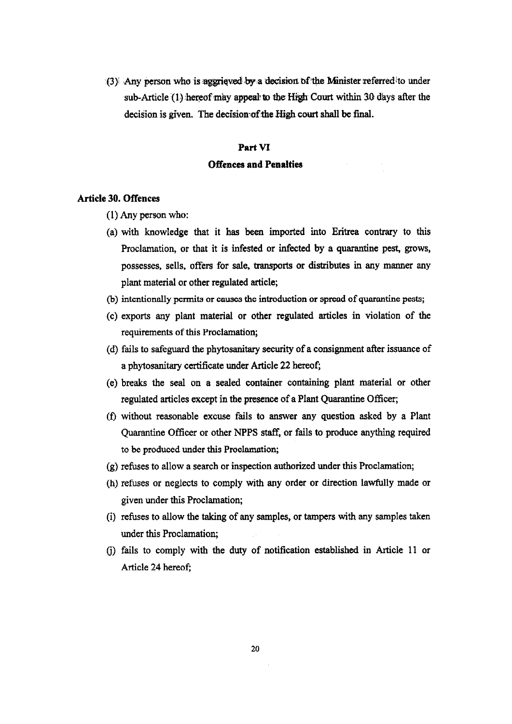(3) Any person who is aggrieved by a decision of the Minister referred to under sub-Article (1) hereof may appeal to the High Court within 30 days after the decision is given. The decision of the High court shall be final.

#### Part VI

# **Offences and Penalties**

# **Article 30. Offences**

- (1) Any person who:
- (a) with knowledge that it has been imported into Eritrea contrary to this Proclamation, or that it is infested or infected by a quarantine pest, grows, possesses, sells, offers for sale. transports or distributes in any manner any plant material or other regulated article;
- (b) intentionally permits or causes the introduction or spread of quarantine pests;
- (c) exports any plant material or other regulated articles in violation of the requirements of this Proclamation;
- (d) fails to safeguard the phytosanitary security of a consignment after issuance of a phytosanitary certificate under Article 22 hereof;
- (e) breaks the seal on a sealed container containing plant material or other regulated articles except in the presence of a Plant Quarantine Officer;
- (f) without reasonable excuse fails to answer any question asked by a Plant Quarantine Officer or other NPPS staff, or fails to produce anything required to be produced under this Proclamation;
- (g) refuses to allow a search or inspection authorized under this Proclamation;
- Ch) refuses or neglects to comply with any order or direction lawfully made or given under this Proclamation;
- (i) refuses to allow the taking of any samples, or tampers with any samples taken under this Proclamation;
- G) fails to comply with the duty of notification established in Article 11 or Article 24 hereof;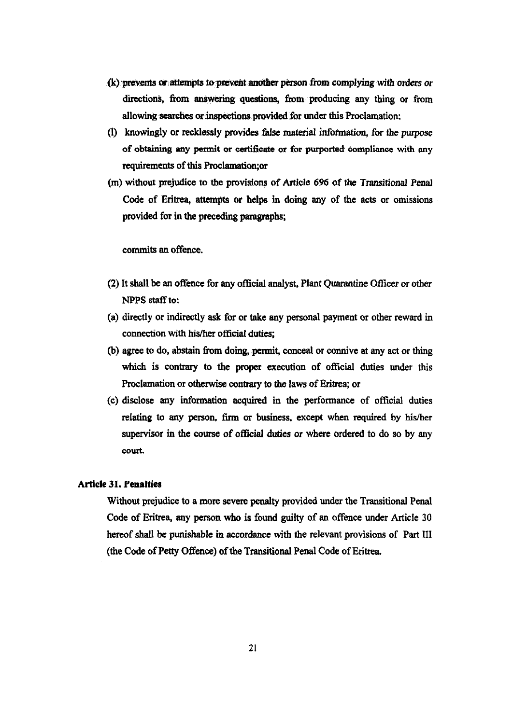- $(k)$  prevents or attempts to prevent another person from complying with orders or directions, from answering questions, from producing any thing or from allowing searches or inspections provided for under this Proclamation:
- (1) knowingly or recklessly provides false material information, for the purpose of obtaining any permit or certificate or for purported compliance with any requirements of this Proclamation;or
- (m) without prejudice to the provisions of Article 696 of the Transitional Penal Code of Eritrea, attempts or helps in doing any of the acts or omissions provided for in the preceding paragraphs;

commits an offence.

- (2) It shall be an offence for any official analyst, Plant Quarantine Officer or other NPPS staff to:
- (a) directly or indirectly ask for or take any personal payment or other reward in connection with his/her official duties;
- (b) agree to do, abstain from doing, permit, eonceal or connive at any act or thing which is contrary to the proper execution of official duties under this Proclamation or otherwise contrary to the laws of Eritrea; or
- (c) disclose any information acquired in the performance of official duties relating: to any person, firm or business. except when required by his/her supervisor in the course of official duties or where ordered to do so by any oourt.

# Article 31. Penalties

Without prejudice to a more severe penalty provided under the Transitional Penal Code of Eritrea, any person who is found guilty of an offence under Article 30 hereof shall be punishable in accordance with the relevant provisions of Part III (the Code of Petty Offence) of the Transitional Penal Code of Eritrea.